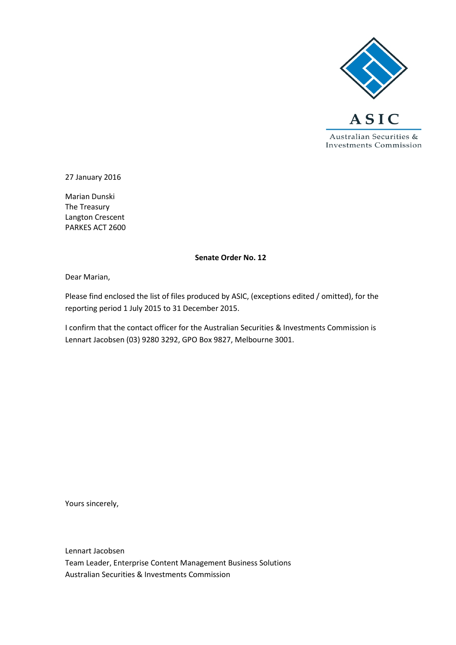

27 January 2016

Marian Dunski The Treasury Langton Crescent PARKES ACT 2600

#### **Senate Order No. 12**

Dear Marian,

Please find enclosed the list of files produced by ASIC, (exceptions edited / omitted), for the reporting period 1 July 2015 to 31 December 2015.

I confirm that the contact officer for the Australian Securities & Investments Commission is Lennart Jacobsen (03) 9280 3292, GPO Box 9827, Melbourne 3001.

Yours sincerely,

Lennart Jacobsen Team Leader, Enterprise Content Management Business Solutions Australian Securities & Investments Commission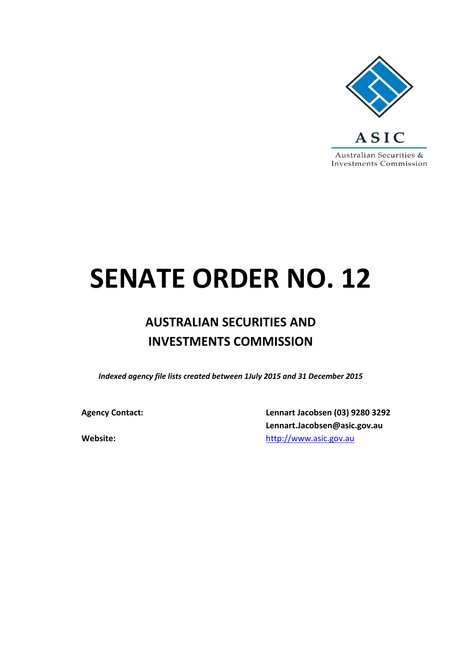

# **SENATE ORDER NO. 12**

## **AUSTRALIAN SECURITIES AND INVESTMENTS COMMISSION**

*Indexed agency file lists created between 1July 2015 and 31 December 2015*

**Agency Contact: Lennart Jacobsen (03) 9280 3292 Lennart.Jacobsen@asic.gov.au Website:** [http://www.asic.gov.au](http://www.asic.gov.au/)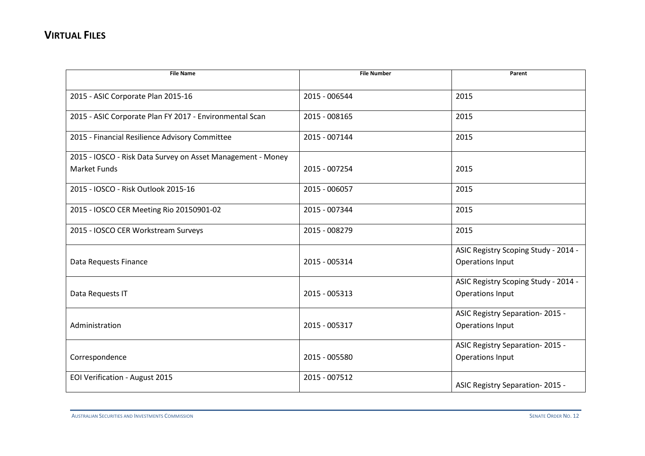| <b>File Name</b>                                            | <b>File Number</b> | Parent                               |
|-------------------------------------------------------------|--------------------|--------------------------------------|
| 2015 - ASIC Corporate Plan 2015-16                          | 2015 - 006544      | 2015                                 |
|                                                             |                    |                                      |
| 2015 - ASIC Corporate Plan FY 2017 - Environmental Scan     | 2015 - 008165      | 2015                                 |
| 2015 - Financial Resilience Advisory Committee              | 2015 - 007144      | 2015                                 |
| 2015 - IOSCO - Risk Data Survey on Asset Management - Money |                    |                                      |
| <b>Market Funds</b>                                         | 2015 - 007254      | 2015                                 |
| 2015 - IOSCO - Risk Outlook 2015-16                         | 2015 - 006057      | 2015                                 |
| 2015 - IOSCO CER Meeting Rio 20150901-02                    | 2015 - 007344      | 2015                                 |
| 2015 - IOSCO CER Workstream Surveys                         | 2015 - 008279      | 2015                                 |
|                                                             |                    | ASIC Registry Scoping Study - 2014 - |
| Data Requests Finance                                       | 2015 - 005314      | <b>Operations Input</b>              |
|                                                             |                    | ASIC Registry Scoping Study - 2014 - |
| Data Requests IT                                            | 2015 - 005313      | Operations Input                     |
|                                                             |                    | ASIC Registry Separation-2015 -      |
| Administration                                              | 2015 - 005317      | <b>Operations Input</b>              |
|                                                             |                    | ASIC Registry Separation-2015 -      |
| Correspondence                                              | 2015 - 005580      | <b>Operations Input</b>              |
| EOI Verification - August 2015                              | 2015 - 007512      | ASIC Registry Separation-2015 -      |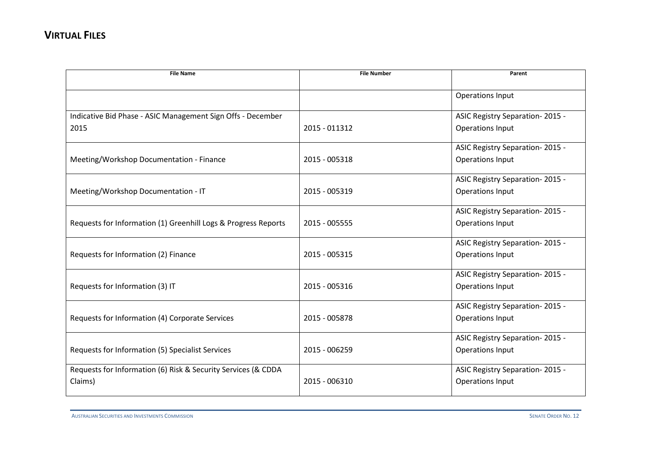| <b>File Name</b>                                               | <b>File Number</b> | Parent                          |
|----------------------------------------------------------------|--------------------|---------------------------------|
|                                                                |                    | Operations Input                |
|                                                                |                    |                                 |
| Indicative Bid Phase - ASIC Management Sign Offs - December    |                    | ASIC Registry Separation-2015 - |
| 2015                                                           | 2015 - 011312      | Operations Input                |
|                                                                |                    | ASIC Registry Separation-2015 - |
| Meeting/Workshop Documentation - Finance                       | 2015 - 005318      | <b>Operations Input</b>         |
|                                                                |                    | ASIC Registry Separation-2015 - |
| Meeting/Workshop Documentation - IT                            | 2015 - 005319      | <b>Operations Input</b>         |
|                                                                |                    | ASIC Registry Separation-2015 - |
| Requests for Information (1) Greenhill Logs & Progress Reports | 2015 - 005555      | <b>Operations Input</b>         |
|                                                                |                    | ASIC Registry Separation-2015 - |
| Requests for Information (2) Finance                           | 2015 - 005315      | <b>Operations Input</b>         |
|                                                                |                    | ASIC Registry Separation-2015 - |
| Requests for Information (3) IT                                | 2015 - 005316      | <b>Operations Input</b>         |
|                                                                |                    | ASIC Registry Separation-2015 - |
| Requests for Information (4) Corporate Services                | 2015 - 005878      | Operations Input                |
|                                                                |                    | ASIC Registry Separation-2015 - |
| Requests for Information (5) Specialist Services               | 2015 - 006259      | <b>Operations Input</b>         |
| Requests for Information (6) Risk & Security Services (& CDDA  |                    | ASIC Registry Separation-2015 - |
| Claims)                                                        | 2015 - 006310      | <b>Operations Input</b>         |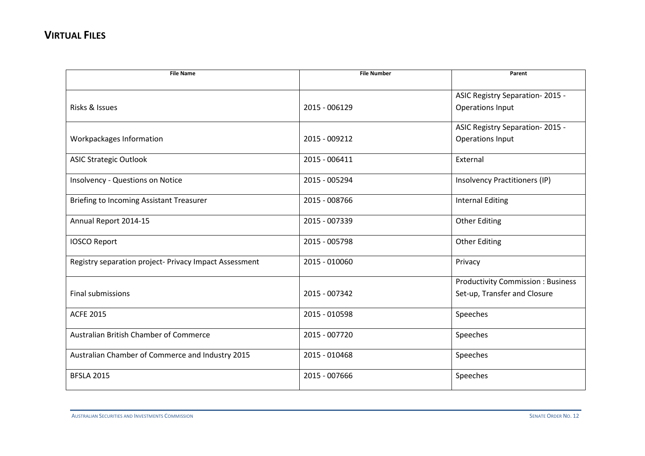| <b>File Name</b>                                       | <b>File Number</b> | Parent                                   |
|--------------------------------------------------------|--------------------|------------------------------------------|
|                                                        |                    |                                          |
|                                                        |                    | ASIC Registry Separation-2015 -          |
| Risks & Issues                                         | 2015 - 006129      | Operations Input                         |
|                                                        |                    | ASIC Registry Separation-2015 -          |
| Workpackages Information                               | 2015 - 009212      | Operations Input                         |
|                                                        |                    |                                          |
| <b>ASIC Strategic Outlook</b>                          | 2015 - 006411      | External                                 |
|                                                        |                    |                                          |
| Insolvency - Questions on Notice                       | 2015 - 005294      | Insolvency Practitioners (IP)            |
| <b>Briefing to Incoming Assistant Treasurer</b>        | 2015 - 008766      | <b>Internal Editing</b>                  |
|                                                        |                    |                                          |
| Annual Report 2014-15                                  | 2015 - 007339      | <b>Other Editing</b>                     |
|                                                        |                    |                                          |
| <b>IOSCO Report</b>                                    | 2015 - 005798      | <b>Other Editing</b>                     |
| Registry separation project- Privacy Impact Assessment | 2015 - 010060      | Privacy                                  |
|                                                        |                    |                                          |
|                                                        |                    | <b>Productivity Commission: Business</b> |
| <b>Final submissions</b>                               | 2015 - 007342      | Set-up, Transfer and Closure             |
|                                                        |                    |                                          |
| <b>ACFE 2015</b>                                       | 2015 - 010598      | Speeches                                 |
| Australian British Chamber of Commerce                 | 2015 - 007720      | Speeches                                 |
|                                                        |                    |                                          |
| Australian Chamber of Commerce and Industry 2015       | 2015 - 010468      | Speeches                                 |
|                                                        |                    |                                          |
| <b>BFSLA 2015</b>                                      | 2015 - 007666      | Speeches                                 |
|                                                        |                    |                                          |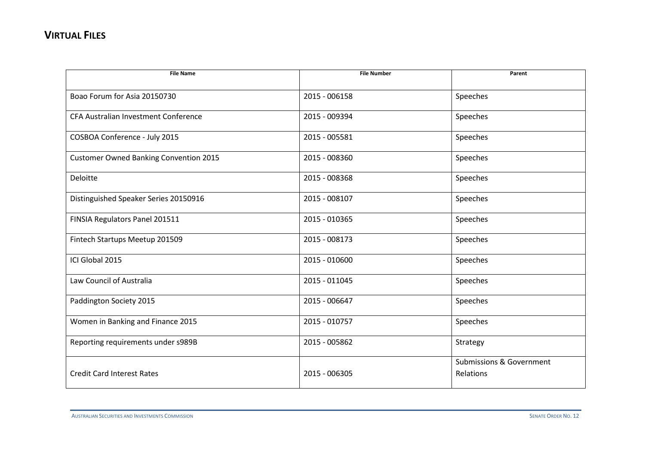| <b>File Name</b>                              | <b>File Number</b> | Parent                                           |
|-----------------------------------------------|--------------------|--------------------------------------------------|
| Boao Forum for Asia 20150730                  | 2015 - 006158      | Speeches                                         |
| CFA Australian Investment Conference          | 2015 - 009394      | Speeches                                         |
| COSBOA Conference - July 2015                 | 2015 - 005581      | Speeches                                         |
| <b>Customer Owned Banking Convention 2015</b> | 2015 - 008360      | Speeches                                         |
| Deloitte                                      | 2015 - 008368      | Speeches                                         |
| Distinguished Speaker Series 20150916         | 2015 - 008107      | Speeches                                         |
| FINSIA Regulators Panel 201511                | 2015 - 010365      | Speeches                                         |
| Fintech Startups Meetup 201509                | 2015 - 008173      | Speeches                                         |
| ICI Global 2015                               | 2015 - 010600      | Speeches                                         |
| Law Council of Australia                      | 2015 - 011045      | Speeches                                         |
| Paddington Society 2015                       | 2015 - 006647      | Speeches                                         |
| Women in Banking and Finance 2015             | 2015 - 010757      | Speeches                                         |
| Reporting requirements under s989B            | 2015 - 005862      | Strategy                                         |
| <b>Credit Card Interest Rates</b>             | 2015 - 006305      | <b>Submissions &amp; Government</b><br>Relations |